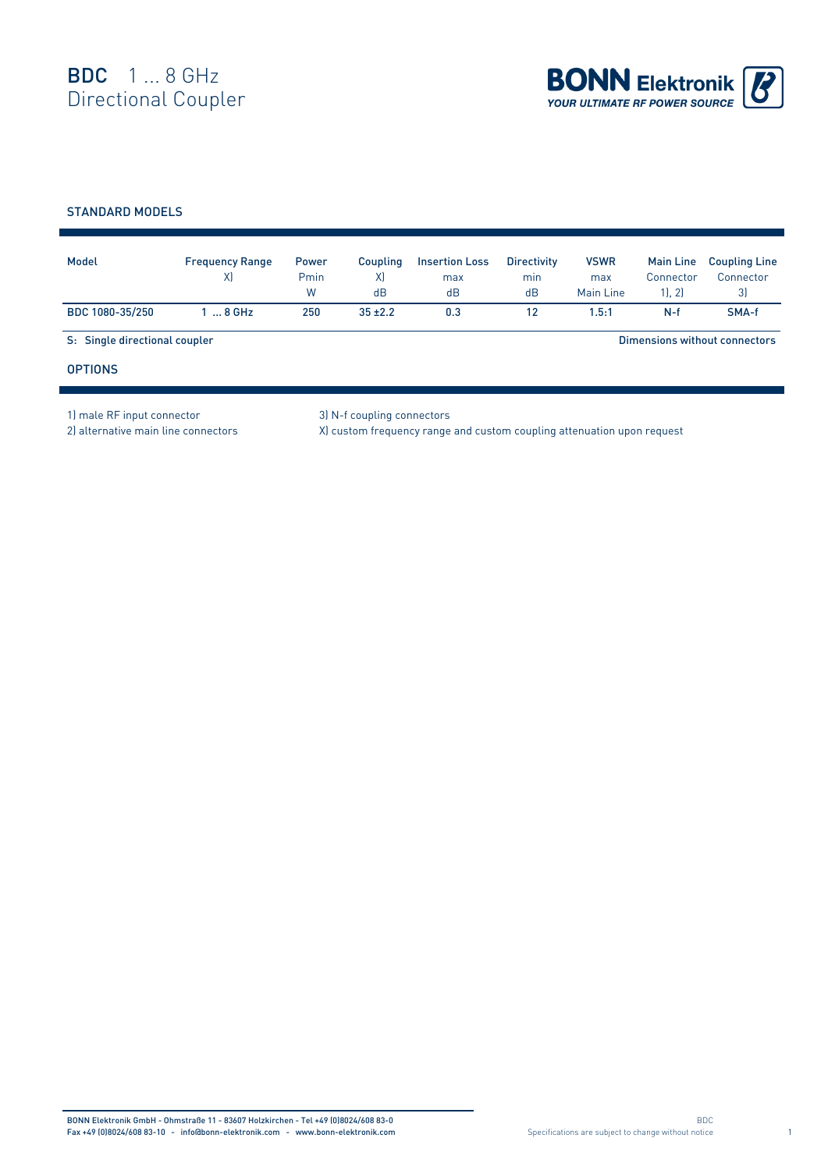

## STANDARD MODELS

| Model                         | <b>Frequency Range</b><br>X | <b>Power</b><br>Pmin<br>W | Coupling<br>X)<br>dB | <b>Insertion Loss</b><br>max<br>dB | <b>Directivity</b><br>min<br>dB | <b>VSWR</b><br>max<br>Main Line | <b>Main Line</b><br>Connector<br>1, 2 | <b>Coupling Line</b><br>Connector<br>3) |
|-------------------------------|-----------------------------|---------------------------|----------------------|------------------------------------|---------------------------------|---------------------------------|---------------------------------------|-----------------------------------------|
| BDC 1080-35/250               | $\ldots$ 8 GHz              | 250                       | $35 + 2.2$           | 0.3                                | 12                              | 1.5:1                           | $N-f$                                 | SMA-f                                   |
| S: Single directional coupler |                             |                           |                      |                                    |                                 |                                 |                                       | Dimensions without connectors           |
| <b>OPTIONS</b>                |                             |                           |                      |                                    |                                 |                                 |                                       |                                         |

1) male RF input connector 3) N-f coupling connectors

2) alternative main line connectors X) custom frequency range and custom coupling attenuation upon request